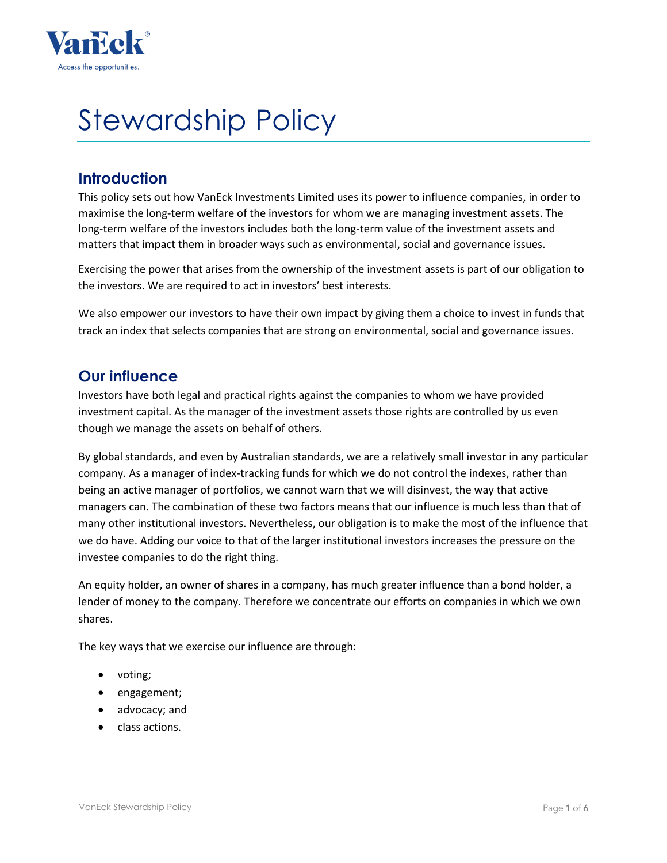

# Stewardship Policy

## **Introduction**

This policy sets out how VanEck Investments Limited uses its power to influence companies, in order to maximise the long-term welfare of the investors for whom we are managing investment assets. The long-term welfare of the investors includes both the long-term value of the investment assets and matters that impact them in broader ways such as environmental, social and governance issues.

Exercising the power that arises from the ownership of the investment assets is part of our obligation to the investors. We are required to act in investors' best interests.

We also empower our investors to have their own impact by giving them a choice to invest in funds that track an index that selects companies that are strong on environmental, social and governance issues.

## **Our influence**

Investors have both legal and practical rights against the companies to whom we have provided investment capital. As the manager of the investment assets those rights are controlled by us even though we manage the assets on behalf of others.

By global standards, and even by Australian standards, we are a relatively small investor in any particular company. As a manager of index-tracking funds for which we do not control the indexes, rather than being an active manager of portfolios, we cannot warn that we will disinvest, the way that active managers can. The combination of these two factors means that our influence is much less than that of many other institutional investors. Nevertheless, our obligation is to make the most of the influence that we do have. Adding our voice to that of the larger institutional investors increases the pressure on the investee companies to do the right thing.

An equity holder, an owner of shares in a company, has much greater influence than a bond holder, a lender of money to the company. Therefore we concentrate our efforts on companies in which we own shares.

The key ways that we exercise our influence are through:

- voting;
- engagement;
- advocacy; and
- class actions.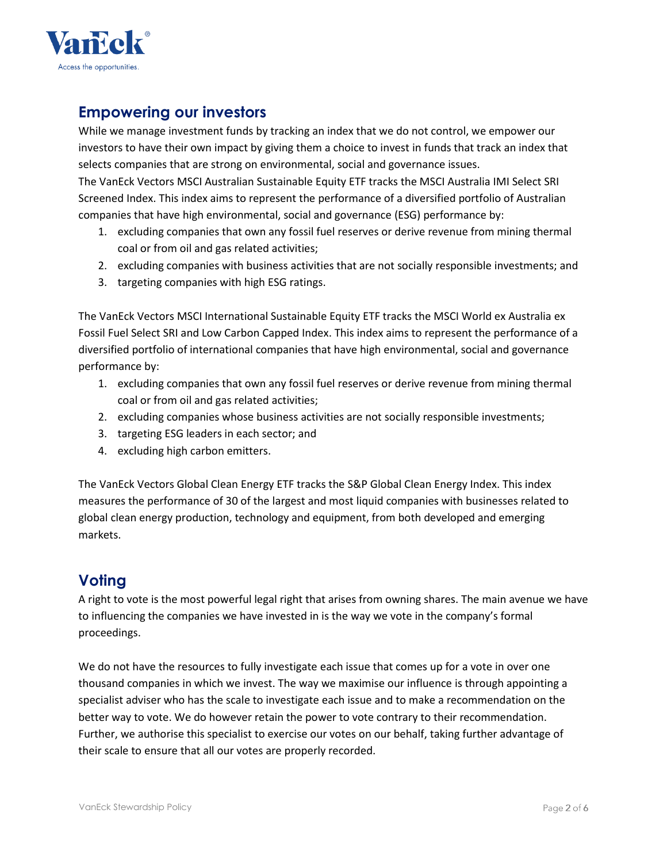

## **Empowering our investors**

While we manage investment funds by tracking an index that we do not control, we empower our investors to have their own impact by giving them a choice to invest in funds that track an index that selects companies that are strong on environmental, social and governance issues.

The VanEck Vectors MSCI Australian Sustainable Equity ETF tracks the MSCI Australia IMI Select SRI Screened Index. This index aims to represent the performance of a diversified portfolio of Australian companies that have high environmental, social and governance (ESG) performance by:

- 1. excluding companies that own any fossil fuel reserves or derive revenue from mining thermal coal or from oil and gas related activities;
- 2. excluding companies with business activities that are not socially responsible investments; and
- 3. targeting companies with high ESG ratings.

The VanEck Vectors MSCI International Sustainable Equity ETF tracks the MSCI World ex Australia ex Fossil Fuel Select SRI and Low Carbon Capped Index. This index aims to represent the performance of a diversified portfolio of international companies that have high environmental, social and governance performance by:

- 1. excluding companies that own any fossil fuel reserves or derive revenue from mining thermal coal or from oil and gas related activities;
- 2. excluding companies whose business activities are not socially responsible investments;
- 3. targeting ESG leaders in each sector; and
- 4. excluding high carbon emitters.

The VanEck Vectors Global Clean Energy ETF tracks the S&P Global Clean Energy Index. This index measures the performance of 30 of the largest and most liquid companies with businesses related to global clean energy production, technology and equipment, from both developed and emerging markets.

# **Voting**

A right to vote is the most powerful legal right that arises from owning shares. The main avenue we have to influencing the companies we have invested in is the way we vote in the company's formal proceedings.

We do not have the resources to fully investigate each issue that comes up for a vote in over one thousand companies in which we invest. The way we maximise our influence is through appointing a specialist adviser who has the scale to investigate each issue and to make a recommendation on the better way to vote. We do however retain the power to vote contrary to their recommendation. Further, we authorise this specialist to exercise our votes on our behalf, taking further advantage of their scale to ensure that all our votes are properly recorded.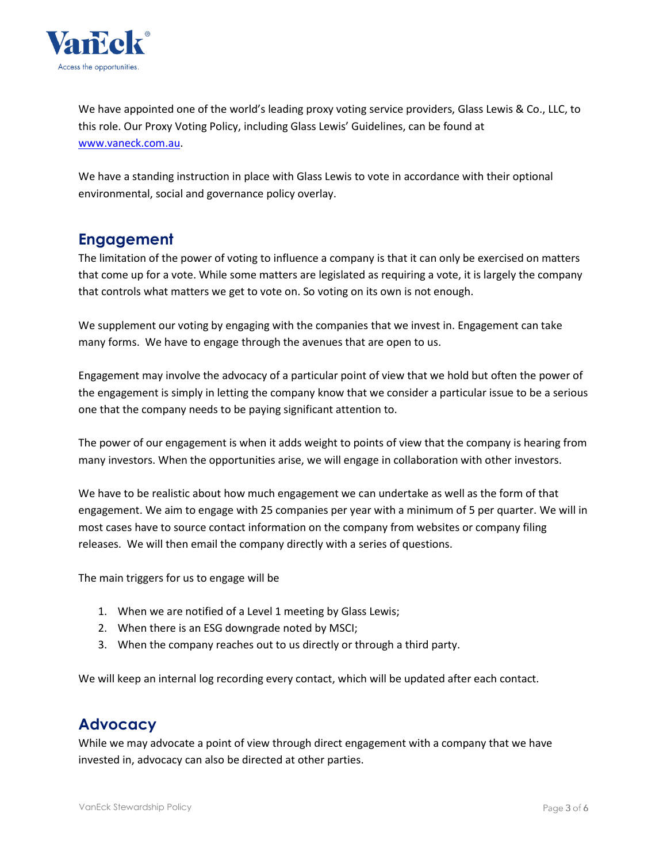

We have appointed one of the world's leading proxy voting service providers, Glass Lewis & Co., LLC, to this role. Our Proxy Voting Policy, including Glass Lewis' Guidelines, can be found at [www.vaneck.com.au.](http://www.vaneck.com.au/)

We have a standing instruction in place with Glass Lewis to vote in accordance with their optional environmental, social and governance policy overlay.

## **Engagement**

The limitation of the power of voting to influence a company is that it can only be exercised on matters that come up for a vote. While some matters are legislated as requiring a vote, it is largely the company that controls what matters we get to vote on. So voting on its own is not enough.

We supplement our voting by engaging with the companies that we invest in. Engagement can take many forms. We have to engage through the avenues that are open to us.

Engagement may involve the advocacy of a particular point of view that we hold but often the power of the engagement is simply in letting the company know that we consider a particular issue to be a serious one that the company needs to be paying significant attention to.

The power of our engagement is when it adds weight to points of view that the company is hearing from many investors. When the opportunities arise, we will engage in collaboration with other investors.

We have to be realistic about how much engagement we can undertake as well as the form of that engagement. We aim to engage with 25 companies per year with a minimum of 5 per quarter. We will in most cases have to source contact information on the company from websites or company filing releases. We will then email the company directly with a series of questions.

The main triggers for us to engage will be

- 1. When we are notified of a Level 1 meeting by Glass Lewis;
- 2. When there is an ESG downgrade noted by MSCI;
- 3. When the company reaches out to us directly or through a third party.

We will keep an internal log recording every contact, which will be updated after each contact.

# **Advocacy**

While we may advocate a point of view through direct engagement with a company that we have invested in, advocacy can also be directed at other parties.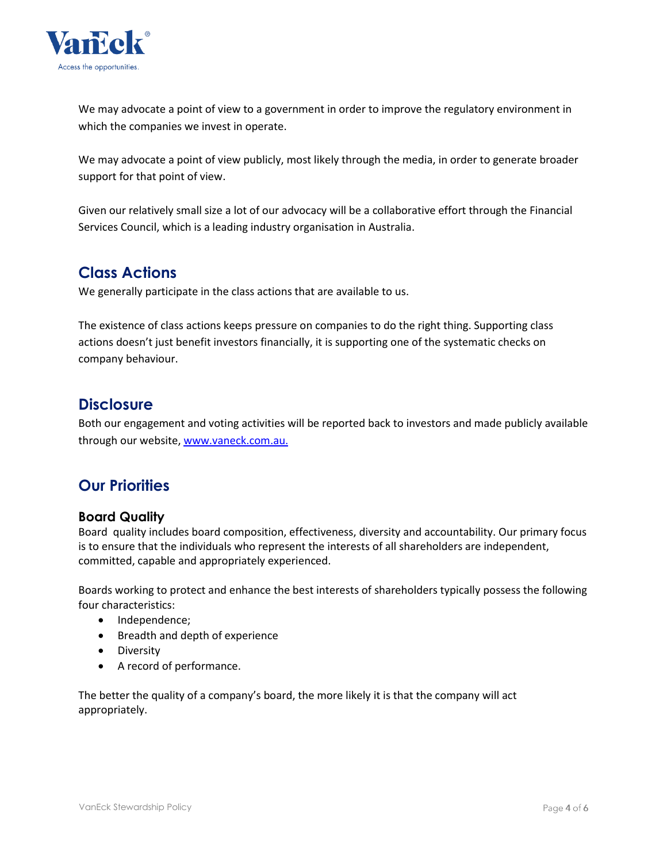

We may advocate a point of view to a government in order to improve the regulatory environment in which the companies we invest in operate.

We may advocate a point of view publicly, most likely through the media, in order to generate broader support for that point of view.

Given our relatively small size a lot of our advocacy will be a collaborative effort through the Financial Services Council, which is a leading industry organisation in Australia.

## **Class Actions**

We generally participate in the class actions that are available to us.

The existence of class actions keeps pressure on companies to do the right thing. Supporting class actions doesn't just benefit investors financially, it is supporting one of the systematic checks on company behaviour.

## **Disclosure**

Both our engagement and voting activities will be reported back to investors and made publicly available through our website, [www.vaneck.com.au.](http://www.vaneck.com.au/)

## **Our Priorities**

#### **Board Quality**

Board quality includes board composition, effectiveness, diversity and accountability. Our primary focus is to ensure that the individuals who represent the interests of all shareholders are independent, committed, capable and appropriately experienced.

Boards working to protect and enhance the best interests of shareholders typically possess the following four characteristics:

- Independence;
- Breadth and depth of experience
- **•** Diversity
- A record of performance.

The better the quality of a company's board, the more likely it is that the company will act appropriately.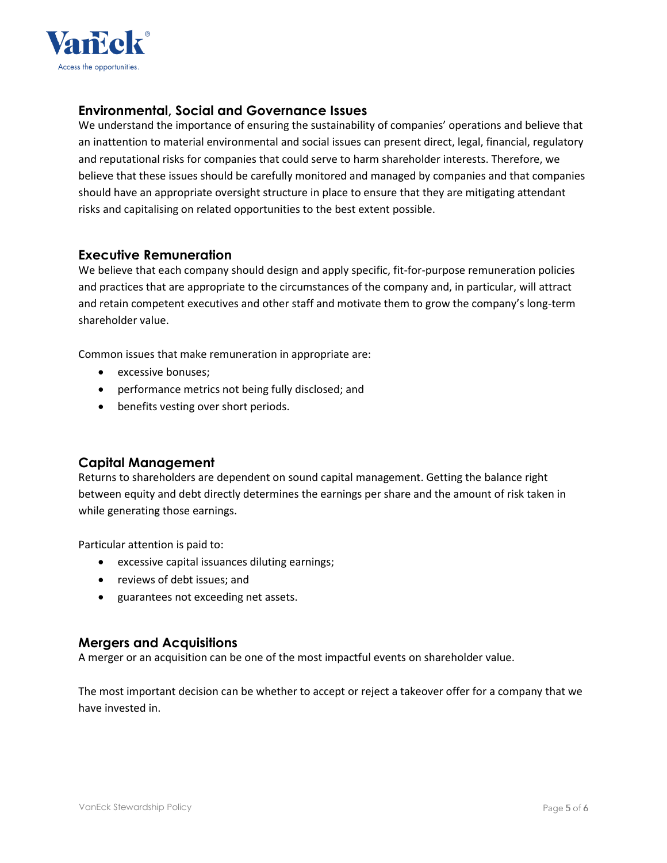

#### **Environmental, Social and Governance Issues**

We understand the importance of ensuring the sustainability of companies' operations and believe that an inattention to material environmental and social issues can present direct, legal, financial, regulatory and reputational risks for companies that could serve to harm shareholder interests. Therefore, we believe that these issues should be carefully monitored and managed by companies and that companies should have an appropriate oversight structure in place to ensure that they are mitigating attendant risks and capitalising on related opportunities to the best extent possible.

#### **Executive Remuneration**

We believe that each company should design and apply specific, fit-for-purpose remuneration policies and practices that are appropriate to the circumstances of the company and, in particular, will attract and retain competent executives and other staff and motivate them to grow the company's long-term shareholder value.

Common issues that make remuneration in appropriate are:

- excessive bonuses;
- performance metrics not being fully disclosed; and
- benefits vesting over short periods.

#### **Capital Management**

Returns to shareholders are dependent on sound capital management. Getting the balance right between equity and debt directly determines the earnings per share and the amount of risk taken in while generating those earnings.

Particular attention is paid to:

- excessive capital issuances diluting earnings;
- reviews of debt issues; and
- guarantees not exceeding net assets.

#### **Mergers and Acquisitions**

A merger or an acquisition can be one of the most impactful events on shareholder value.

The most important decision can be whether to accept or reject a takeover offer for a company that we have invested in.